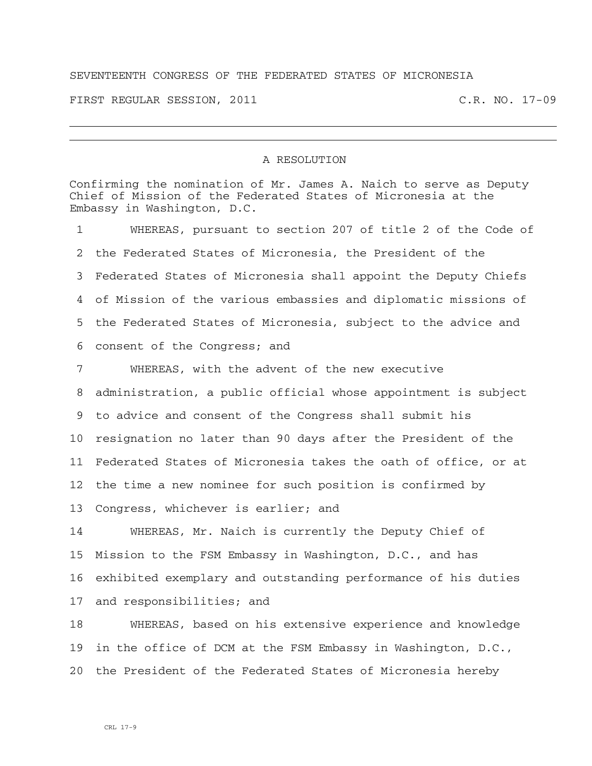## SEVENTEENTH CONGRESS OF THE FEDERATED STATES OF MICRONESIA

FIRST REGULAR SESSION, 2011 C.R. NO. 17-09

## A RESOLUTION

Confirming the nomination of Mr. James A. Naich to serve as Deputy Chief of Mission of the Federated States of Micronesia at the Embassy in Washington, D.C.

1 WHEREAS, pursuant to section 207 of title 2 of the Code of 2 the Federated States of Micronesia, the President of the 3 Federated States of Micronesia shall appoint the Deputy Chiefs 4 of Mission of the various embassies and diplomatic missions of 5 the Federated States of Micronesia, subject to the advice and 6 consent of the Congress; and

7 WHEREAS, with the advent of the new executive 8 administration, a public official whose appointment is subject 9 to advice and consent of the Congress shall submit his 10 resignation no later than 90 days after the President of the 11 Federated States of Micronesia takes the oath of office, or at 12 the time a new nominee for such position is confirmed by 13 Congress, whichever is earlier; and

14 WHEREAS, Mr. Naich is currently the Deputy Chief of 15 Mission to the FSM Embassy in Washington, D.C., and has 16 exhibited exemplary and outstanding performance of his duties 17 and responsibilities; and

18 WHEREAS, based on his extensive experience and knowledge 19 in the office of DCM at the FSM Embassy in Washington, D.C., 20 the President of the Federated States of Micronesia hereby